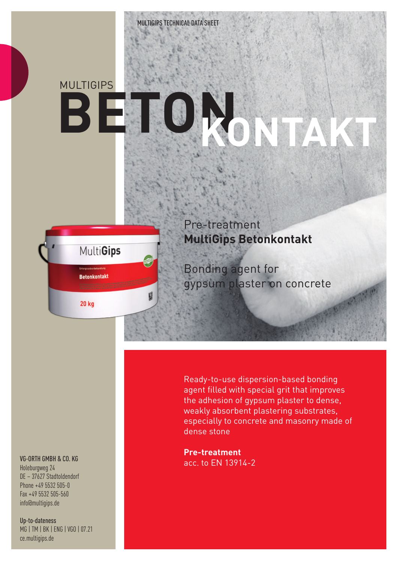# **MULTIGIPS BET**



圆

Pre-treatment **MultiGips Betonkontakt**

Bonding agent for gypsum plaster on concrete

### VG-ORTH GMBH & CO. KG

Holeburgweg 24 DE – 37627 Stadtoldendorf Phone +49 5532 505-0 Fax +49 5532 505-560 info@multigips.de

Up-to-dateness MG | TM | BK | ENG | VGO | 07.21 ce.multigips.de

Ready-to-use dispersion-based bonding agent filled with special grit that improves the adhesion of gypsum plaster to dense, weakly absorbent plastering substrates, especially to concrete and masonry made of dense stone

**Pre-treatment** acc. to EN 13914-2